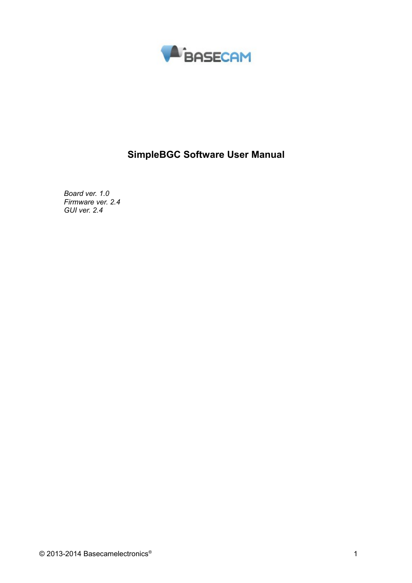

# **SimpleBGC Software User Manual**

*Board ver. 1.0 Firmware ver. 2.4 GUI ver. 2.4*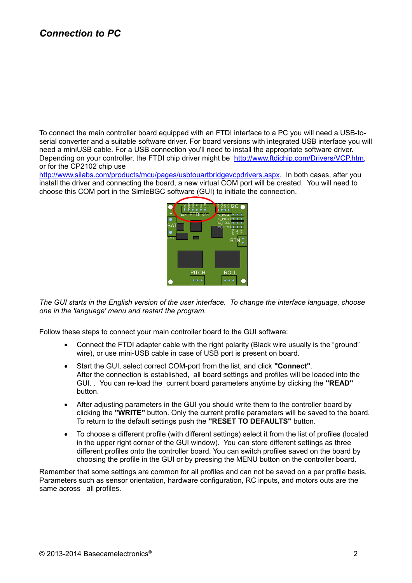## *Connection to PC*

To connect the main controller board equipped with an FTDI interface to a PC you will need a USB-toserial converter and a suitable software driver. For board versions with integrated USB interface you will need a miniUSB cable. For a USB connection you'll need to install the appropriate software driver. Depending on your controller, the FTDI chip driver might be [http://www.ftdichip.com/Drivers/VCP.htm,](http://www.ftdichip.com/Drivers/VCP.htm) or for the CP2102 chip use

[http://www.silabs.com/products/mcu/pages/usbtouartbridgevcpdrivers.aspx.](http://www.silabs.com/products/mcu/pages/usbtouartbridgevcpdrivers.aspx) In both cases, after you install the driver and connecting the board, a new virtual COM port will be created. You will need to choose this COM port in the SimleBGC software (GUI) to initiate the connection.



*The GUI starts in the English version of the user interface. To change the interface language, choose one in the 'language' menu and restart the program.*

Follow these steps to connect your main controller board to the GUI software:

- Connect the FTDI adapter cable with the right polarity (Black wire usually is the "ground" wire), or use mini-USB cable in case of USB port is present on board.
- Start the GUI, select correct COM-port from the list, and click **"Connect"**. After the connection is established, all board settings and profiles will be loaded into the GUI. . You can re-load the current board parameters anytime by clicking the **"READ"** button.
- After adjusting parameters in the GUI you should write them to the controller board by clicking the **"WRITE"** button. Only the current profile parameters will be saved to the board. To return to the default settings push the **"RESET TO DEFAULTS"** button.
- To choose a different profile (with different settings) select it from the list of profiles (located in the upper right corner of the GUI window). You can store different settings as three different profiles onto the controller board. You can switch profiles saved on the board by choosing the profile in the GUI or by pressing the MENU button on the controller board.

Remember that some settings are common for all profiles and can not be saved on a per profile basis. Parameters such as sensor orientation, hardware configuration, RC inputs, and motors outs are the same across all profiles.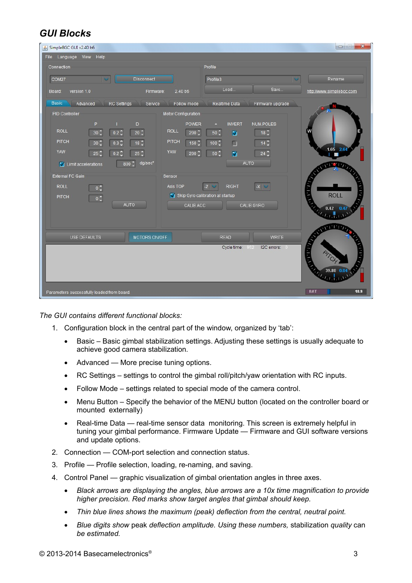# *GUI Blocks*

| File Language View Help<br>Connection<br>Profile<br><b>Disconnect</b><br>COM27<br>Rename<br>Profile3<br>$\sim$<br>Load<br>Save<br>version 1.0<br>2.40 b6<br>http://www.simplebgc.com<br>Firmware:<br>Board:<br><b>Basic</b><br>Advanced<br>RC Settings<br>Service<br>Follow mode<br>Realtime Data<br>Firmware upgrade<br>PID Controller<br>Motor Configuration<br>P<br>D<br>NUM.POLES<br>POWER<br><b>INVERT</b><br><b>ROLL</b><br><b>ROLL</b><br>$0.2\degree$<br>$20^\circ$<br>$50^\circ$<br>$18^\circ$<br>$30^\circ$<br>$200^\circ$<br>☑<br>PITCH<br><b>PITCH</b><br>$0.3^\circ$<br>$18^\circ$<br>$100^\circ$<br>$14^\circ$<br>30 <sup>o</sup><br>$150^\circ$<br>П<br>$-1.65$ 2.64<br>YAW<br>YAW<br>$25^\circ$<br>$50^\circ$<br>$24^\circ$<br>$0.2^\circ$<br>$200^\circ$<br>⊽<br>$25^\circ$<br>dg/sec <sup>2</sup><br>AUTO<br>$800^\circ$<br>Init accelerations<br><b>ANCIEN</b><br><b>External FC Gain</b><br>Sensor<br><b>ROLL</b><br>Axis TOP<br><b>RIGHT</b><br>$-X$<br>$-Z$<br>$0\sqrt[4]{x}$<br>in 19<br><b>ROLL</b><br>Skip Gyro calibration at startup<br><b>PITCH</b><br>$0 \frac{\gamma}{\mathsf{v}}$<br>AUTO<br>CALIB.GYRO<br>CALIB.ACC<br>$0.42$ 0.4<br><b>ANTINER</b><br>MOTORS ON/OFF<br>USE DEFAULTS<br><b>READ</b><br><b>WRITE</b><br><b>GELLER</b><br>Cycle time:<br>I2C errors: 0<br>952<br><b>BAT</b><br>10.9<br>Parameters successfully loaded from board. | SimpleBGC GUI v2.40 b6 | $\begin{array}{c c c c c} \hline \multicolumn{3}{c }{\textbf{a}} & \multicolumn{3}{c }{\textbf{b}} \\ \hline \multicolumn{3}{c }{\textbf{b}} & \multicolumn{3}{c }{\textbf{c}} & \multicolumn{3}{c }{\textbf{c}} \\ \hline \multicolumn{3}{c }{\textbf{b}} & \multicolumn{3}{c }{\textbf{c}} & \multicolumn{3}{c }{\textbf{c}} \\ \hline \multicolumn{3}{c }{\textbf{b}} & \multicolumn{3}{c }{\textbf{c}} & \multicolumn{3}{c }{\textbf{d}} \\ \hline \multic$<br>$\mathbf{x}$ |  |
|---------------------------------------------------------------------------------------------------------------------------------------------------------------------------------------------------------------------------------------------------------------------------------------------------------------------------------------------------------------------------------------------------------------------------------------------------------------------------------------------------------------------------------------------------------------------------------------------------------------------------------------------------------------------------------------------------------------------------------------------------------------------------------------------------------------------------------------------------------------------------------------------------------------------------------------------------------------------------------------------------------------------------------------------------------------------------------------------------------------------------------------------------------------------------------------------------------------------------------------------------------------------------------------------------------------------------------------------------------------------------------|------------------------|---------------------------------------------------------------------------------------------------------------------------------------------------------------------------------------------------------------------------------------------------------------------------------------------------------------------------------------------------------------------------------------------------------------------------------------------------------------------------------|--|
|                                                                                                                                                                                                                                                                                                                                                                                                                                                                                                                                                                                                                                                                                                                                                                                                                                                                                                                                                                                                                                                                                                                                                                                                                                                                                                                                                                                 |                        |                                                                                                                                                                                                                                                                                                                                                                                                                                                                                 |  |
|                                                                                                                                                                                                                                                                                                                                                                                                                                                                                                                                                                                                                                                                                                                                                                                                                                                                                                                                                                                                                                                                                                                                                                                                                                                                                                                                                                                 |                        |                                                                                                                                                                                                                                                                                                                                                                                                                                                                                 |  |
|                                                                                                                                                                                                                                                                                                                                                                                                                                                                                                                                                                                                                                                                                                                                                                                                                                                                                                                                                                                                                                                                                                                                                                                                                                                                                                                                                                                 |                        |                                                                                                                                                                                                                                                                                                                                                                                                                                                                                 |  |
|                                                                                                                                                                                                                                                                                                                                                                                                                                                                                                                                                                                                                                                                                                                                                                                                                                                                                                                                                                                                                                                                                                                                                                                                                                                                                                                                                                                 |                        |                                                                                                                                                                                                                                                                                                                                                                                                                                                                                 |  |
|                                                                                                                                                                                                                                                                                                                                                                                                                                                                                                                                                                                                                                                                                                                                                                                                                                                                                                                                                                                                                                                                                                                                                                                                                                                                                                                                                                                 |                        |                                                                                                                                                                                                                                                                                                                                                                                                                                                                                 |  |
|                                                                                                                                                                                                                                                                                                                                                                                                                                                                                                                                                                                                                                                                                                                                                                                                                                                                                                                                                                                                                                                                                                                                                                                                                                                                                                                                                                                 |                        |                                                                                                                                                                                                                                                                                                                                                                                                                                                                                 |  |
|                                                                                                                                                                                                                                                                                                                                                                                                                                                                                                                                                                                                                                                                                                                                                                                                                                                                                                                                                                                                                                                                                                                                                                                                                                                                                                                                                                                 |                        |                                                                                                                                                                                                                                                                                                                                                                                                                                                                                 |  |

*The GUI contains different functional blocks:*

- 1. Configuration block in the central part of the window, organized by 'tab':
	- Basic Basic gimbal stabilization settings. Adjusting these settings is usually adequate to achieve good camera stabilization.
	- Advanced More precise tuning options.
	- RC Settings settings to control the gimbal roll/pitch/yaw orientation with RC inputs.
	- Follow Mode settings related to special mode of the camera control.
	- Menu Button Specify the behavior of the MENU button (located on the controller board or mounted externally)
	- Real-time Data real-time sensor data monitoring. This screen is extremely helpful in tuning your gimbal performance. Firmware Update — Firmware and GUI software versions and update options.
- 2. Connection COM-port selection and connection status.
- 3. Profile Profile selection, loading, re-naming, and saving.
- 4. Control Panel graphic visualization of gimbal orientation angles in three axes.
	- *Black arrows are displaying the angles, blue arrows are a 10x time magnification to provide higher precision. Red marks show target angles that gimbal should keep.*
	- *Thin blue lines shows the maximum (peak) deflection from the central, neutral point.*
	- *Blue digits show* peak *deflection amplitude. Using these numbers,* stabilization *quality* can *be estimated.*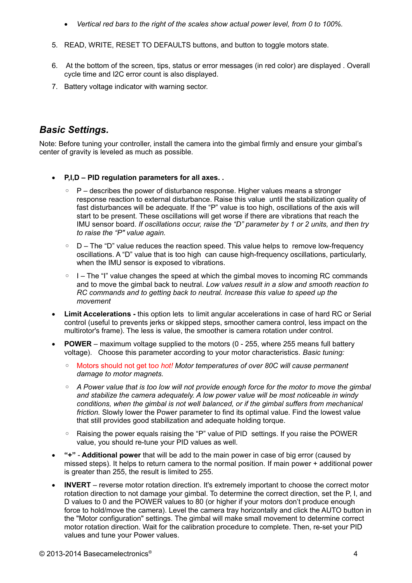- *Vertical red bars to the right of the scales show actual power level, from 0 to 100%.*
- 5. READ, WRITE, RESET TO DEFAULTS buttons, and button to toggle motors state.
- 6. At the bottom of the screen, tips, status or error messages (in red color) are displayed . Overall cycle time and I2C error count is also displayed.
- 7. Battery voltage indicator with warning sector.

## *Basic Settings.*

Note: Before tuning your controller, install the camera into the gimbal firmly and ensure your gimbal's center of gravity is leveled as much as possible.

- **P,I,D PID regulation parameters for all axes. .**
	- P describes the power of disturbance response. Higher values means a stronger response reaction to external disturbance. Raise this value until the stabilization quality of fast disturbances will be adequate. If the "P" value is too high, oscillations of the axis will start to be present. These oscillations will get worse if there are vibrations that reach the IMU sensor board. *If oscillations occur, raise the "D" parameter by 1 or 2 units, and then try to raise the "P" value again.*
	- D The "D" value reduces the reaction speed. This value helps to remove low-frequency oscillations. A "D" value that is too high can cause high-frequency oscillations, particularly, when the IMU sensor is exposed to vibrations.
	- $\circ$  I The "I" value changes the speed at which the gimbal moves to incoming RC commands and to move the gimbal back to neutral. *Low values result in a slow and smooth reaction to RC commands and to getting back to neutral. Increase this value to speed up the movement*
- **Limit Accelerations** this option lets to limit angular accelerations in case of hard RC or Serial control (useful to prevents jerks or skipped steps, smoother camera control, less impact on the multirotor's frame). The less is value, the smoother is camera rotation under control.
- **POWER** maximum voltage supplied to the motors (0 255, where 255 means full battery voltage). Choose this parameter according to your motor characteristics. *Basic tuning:*
	- Motors should not get to*o hot! Motor temperatures of over 80С will cause permanent damage to motor magnets.*
	- *A Power value that is too low will not provide enough force for the motor to move the gimbal and stabilize the camera adequately. A low power value will be most noticeable in windy conditions, when the gimbal is not well balanced, or if the gimbal suffers from mechanical friction.* Slowly lower the Power parameter to find its optimal value. Find the lowest value that still provides good stabilization and adequate holding torque.
	- Raising the power equals raising the "P" value of PID settings. If you raise the POWER value, you should re-tune your PID values as well.
- **"+" Additional power** that will be add to the main power in case of big error (caused by missed steps). It helps to return camera to the normal position. If main power + additional power is greater than 255, the result is limited to 255.
- **INVERT** reverse motor rotation direction. It's extremely important to choose the correct motor rotation direction to not damage your gimbal. To determine the correct direction, set the P, I, and D values to 0 and the POWER values to 80 (or higher if your motors don't produce enough force to hold/move the camera). Level the camera tray horizontally and click the AUTO button in the "Motor configuration" settings. The gimbal will make small movement to determine correct motor rotation direction. Wait for the calibration procedure to complete. Then, re-set your PID values and tune your Power values.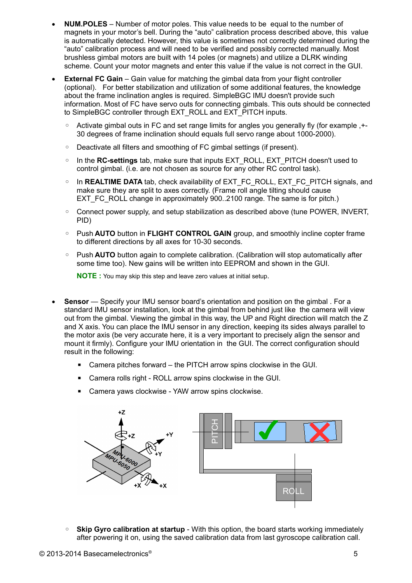- **NUM.POLES** Number of motor poles. This value needs to be equal to the number of magnets in your motor's bell. During the "auto" calibration process described above, this value is automatically detected. However, this value is sometimes not correctly determined during the "auto" calibration process and will need to be verified and possibly corrected manually. Most brushless gimbal motors are built with 14 poles (or magnets) and utilize a DLRK winding scheme. Count your motor magnets and enter this value if the value is not correct in the GUI.
- **External FC Gain** Gain value for matching the gimbal data from your flight controller (optional). For better stabilization and utilization of some additional features, the knowledge about the frame inclination angles is required. SimpleBGC IMU doesn't provide such information. Most of FC have servo outs for connecting gimbals. This outs should be connected to SimpleBGC controller through EXT\_ROLL and EXT\_PITCH inputs.
	- Activate gimbal outs in FC and set range limits for angles you generally fly (for example ,+- 30 degrees of frame inclination should equals full servo range about 1000-2000).
	- Deactivate all filters and smoothing of FC gimbal settings (if present).
	- In the **RC-settings** tab, make sure that inputs EXT\_ROLL, EXT\_PITCH doesn't used to control gimbal. (i.e. are not chosen as source for any other RC control task).
	- In **REALTIME DATA** tab, check availability of EXT\_FC\_ROLL, EXT\_FC\_PITCH signals, and make sure they are split to axes correctly. (Frame roll angle tilting should cause EXT\_FC\_ROLL change in approximately 900..2100 range. The same is for pitch.)
	- Connect power supply, and setup stabilization as described above (tune POWER, INVERT, PID)
	- Push **AUTO** button in **FLIGHT CONTROL GAIN** group, and smoothly incline copter frame to different directions by all axes for 10-30 seconds.
	- Push **AUTO** button again to complete calibration. (Calibration will stop automatically after some time too). New gains will be written into EEPROM and shown in the GUI.

**NOTE :** You may skip this step and leave zero values at initial setup.

- **Sensor** Specify your IMU sensor board's orientation and position on the gimbal . For a standard IMU sensor installation, look at the gimbal from behind just like the camera will view out from the gimbal. Viewing the gimbal in this way, the UP and Right direction will match the Z and X axis. You can place the IMU sensor in any direction, keeping its sides always parallel to the motor axis (be very accurate here, it is a very important to precisely align the sensor and mount it firmly). Configure your IMU orientation in the GUI. The correct configuration should result in the following:
	- Camera pitches forward the PITCH arrow spins clockwise in the GUI.
	- Camera rolls right ROLL arrow spins clockwise in the GUI.
	- Camera yaws clockwise YAW arrow spins clockwise.



◦ **Skip Gyro calibration at startup** - With this option, the board starts working immediately after powering it on, using the saved calibration data from last gyroscope calibration call.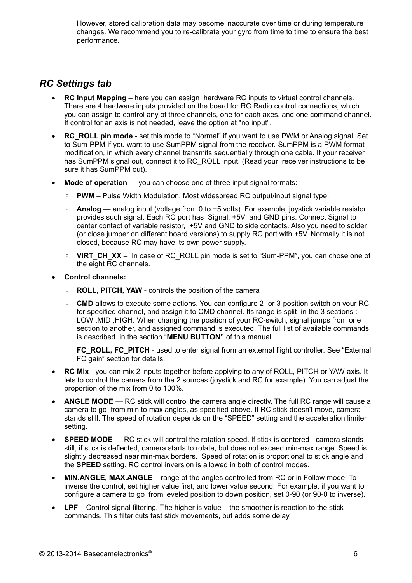However, stored calibration data may become inaccurate over time or during temperature changes. We recommend you to re-calibrate your gyro from time to time to ensure the best performance.

## *RC Settings tab*

- **RC Input Mapping** here you can assign hardware RC inputs to virtual control channels. There are 4 hardware inputs provided on the board for RC Radio control connections, which you can assign to control any of three channels, one for each axes, and one command channel. If control for an axis is not needed, leave the option at "no input".
- RC ROLL pin mode set this mode to "Normal" if you want to use PWM or Analog signal. Set to Sum-PPM if you want to use SumPPM signal from the receiver. SumPPM is a PWM format modification, in which every channel transmits sequentially through one cable. If your receiver has SumPPM signal out, connect it to RC\_ROLL input. (Read your receiver instructions to be sure it has SumPPM out).
- **Mode of operation** you can choose one of three input signal formats:
	- **PWM** Pulse Width Modulation. Most widespread RC output/input signal type.
	- **Analog** analog input (voltage from 0 to +5 volts). For example, joystick variable resistor provides such signal. Each RC port has Signal, +5V and GND pins. Connect Signal to center contact of variable resistor, +5V and GND to side contacts. Also you need to solder (or close jumper on different board versions) to supply RC port with +5V. Normally it is not closed, because RC may have its own power supply.
	- **VIRT CH XX** In case of RC ROLL pin mode is set to "Sum-PPM", you can chose one of the eight RC channels.
- **Control channels:**
	- **ROLL, PITCH, YAW** controls the position of the camera
	- **CMD** allows to execute some actions. You can configure 2- or 3-position switch on your RC for specified channel, and assign it to CMD channel. Its range is split in the 3 sections : LOW ,MID ,HIGH. When changing the position of your RC-switch, signal jumps from one section to another, and assigned command is executed. The full list of available commands is described in the section "**MENU BUTTON"** of this manual.
	- **FC\_ROLL, FC\_PITCH** used to enter signal from an external flight controller. See "External FC gain" section for details.
- **RC Mix** you can mix 2 inputs together before applying to any of ROLL, PITCH or YAW axis. It lets to control the camera from the 2 sources (joystick and RC for example). You can adjust the proportion of the mix from 0 to 100%.
- ANGLE MODE RC stick will control the camera angle directly. The full RC range will cause a camera to go from min to max angles, as specified above. If RC stick doesn't move, camera stands still. The speed of rotation depends on the "SPEED" setting and the acceleration limiter setting.
- **SPEED MODE** RC stick will control the rotation speed. If stick is centered camera stands still, if stick is deflected, camera starts to rotate, but does not exceed min-max range. Speed is slightly decreased near min-max borders. Speed of rotation is proportional to stick angle and the **SPEED** setting. RC control inversion is allowed in both of control modes.
- **MIN.ANGLE, MAX.ANGLE** range of the angles controlled from RC or in Follow mode. To inverse the control, set higher value first, and lower value second. For example, if you want to configure a camera to go from leveled position to down position, set 0-90 (or 90-0 to inverse).
- **LPF** Control signal filtering. The higher is value the smoother is reaction to the stick commands. This filter cuts fast stick movements, but adds some delay.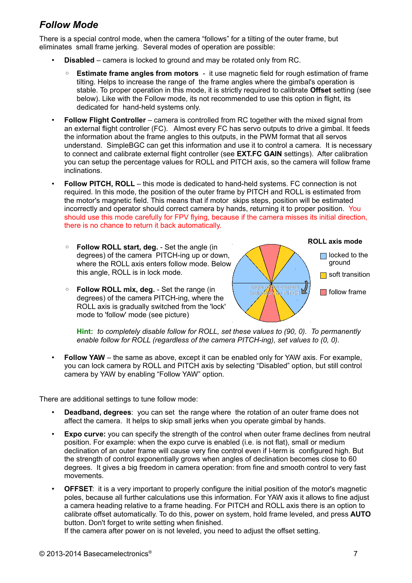# *Follow Mode*

There is a special control mode, when the camera "follows" for a tilting of the outer frame, but eliminates small frame jerking. Several modes of operation are possible:

- **Disabled** camera is locked to ground and may be rotated only from RC.
	- **Estimate frame angles from motors** it use magnetic field for rough estimation of frame tilting. Helps to increase the range of the frame angles where the gimbal's operation is stable. To proper operation in this mode, it is strictly required to calibrate **Offset** setting (see below). Like with the Follow mode, its not recommended to use this option in flight, its dedicated for hand-held systems only.
- **Follow Flight Controller** camera is controlled from RC together with the mixed signal from an external flight controller (FC). Almost every FC has servo outputs to drive a gimbal. It feeds the information about the frame angles to this outputs, in the PWM format that all servos understand. SimpleBGC can get this information and use it to control a camera. It is necessary to connect and calibrate external flight controller (see **EXT.FC GAIN** settings). After calibration you can setup the percentage values for ROLL and PITCH axis, so the camera will follow frame inclinations.
- **Follow PITCH, ROLL** this mode is dedicated to hand-held systems. FC connection is not required. In this mode, the position of the outer frame by PITCH and ROLL is estimated from the motor's magnetic field. This means that if motor skips steps, position will be estimated incorrectly and operator should correct camera by hands, returning it to proper position. You should use this mode carefully for FPV flying, because if the camera misses its initial direction, there is no chance to return it back automatically.
	- **Follow ROLL start, deg.** Set the angle (in degrees) of the camera PITCH-ing up or down, where the ROLL axis enters follow mode. Below this angle, ROLL is in lock mode.
	- **Follow ROLL mix, deg.** Set the range (in degrees) of the camera PITCH-ing, where the ROLL axis is gradually switched from the 'lock' mode to 'follow' mode (see picture)



**Hint:** *to completely disable follow for ROLL, set these values to (90, 0). To permanently enable follow for ROLL (regardless of the camera PITCH-ing), set values to (0, 0).*

**Follow YAW** – the same as above, except it can be enabled only for YAW axis. For example, you can lock camera by ROLL and PITCH axis by selecting "Disabled" option, but still control camera by YAW by enabling "Follow YAW" option.

There are additional settings to tune follow mode:

- **Deadband, degrees**: you can set the range where the rotation of an outer frame does not affect the camera. It helps to skip small jerks when you operate gimbal by hands.
- **Expo curve:** you can specify the strength of the control when outer frame declines from neutral position. For example: when the expo curve is enabled (i.e. is not flat), small or medium declination of an outer frame will cause very fine control even if I-term is configured high. But the strength of control exponentially grows when angles of declination becomes close to 60 degrees. It gives a big freedom in camera operation: from fine and smooth control to very fast movements.
- **OFFSET:** it is a very important to properly configure the initial position of the motor's magnetic poles, because all further calculations use this information. For YAW axis it allows to fine adjust a camera heading relative to a frame heading. For PITCH and ROLL axis there is an option to calibrate offset automatically. To do this, power on system, hold frame leveled, and press **AUTO** button. Don't forget to write setting when finished.

If the camera after power on is not leveled, you need to adjust the offset setting.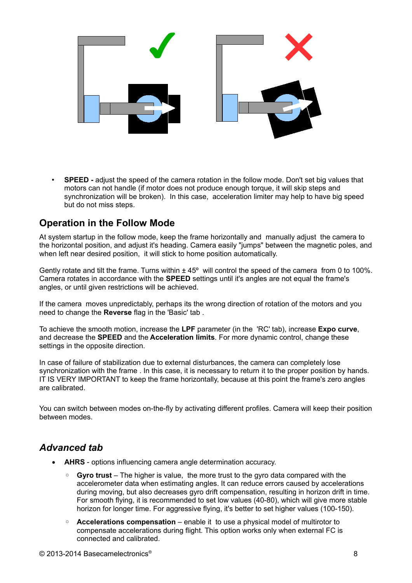

• **SPEED -** adjust the speed of the camera rotation in the follow mode. Don't set big values that motors can not handle (if motor does not produce enough torque, it will skip steps and synchronization will be broken). In this case, acceleration limiter may help to have big speed but do not miss steps.

#### **Operation in the Follow Mode**

At system startup in the follow mode, keep the frame horizontally and manually adjust the camera to the horizontal position, and adjust it's heading. Camera easily "jumps" between the magnetic poles, and when left near desired position, it will stick to home position automatically.

Gently rotate and tilt the frame. Turns within  $\pm 45^{\circ}$  will control the speed of the camera from 0 to 100%. Camera rotates in accordance with the **SPEED** settings until it's angles are not equal the frame's angles, or until given restrictions will be achieved.

If the camera moves unpredictably, perhaps its the wrong direction of rotation of the motors and you need to change the **Reverse** flag in the 'Basic' tab .

To achieve the smooth motion, increase the **LPF** parameter (in the 'RC' tab), increase **Expo curve**, and decrease the **SPEED** and the **Acceleration limits**. For more dynamic control, change these settings in the opposite direction.

In case of failure of stabilization due to external disturbances, the camera can completely lose synchronization with the frame . In this case, it is necessary to return it to the proper position by hands. IT IS VERY IMPORTANT to keep the frame horizontally, because at this point the frame's zero angles are calibrated.

You can switch between modes on-the-fly by activating different profiles. Camera will keep their position between modes.

### *Advanced tab*

- **AHRS** options influencing camera angle determination accuracy.
	- **Gyro trust** The higher is value, the more trust to the gyro data compared with the accelerometer data when estimating angles. It can reduce errors caused by accelerations during moving, but also decreases gyro drift compensation, resulting in horizon drift in time. For smooth flying, it is recommended to set low values (40-80), which will give more stable horizon for longer time. For aggressive flying, it's better to set higher values (100-150).
	- **Accelerations compensation** enable it to use a physical model of multirotor to compensate accelerations during flight. This option works only when external FC is connected and calibrated.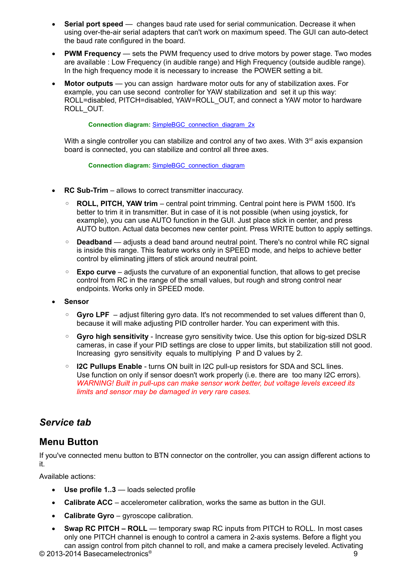- **Serial port speed** changes baud rate used for serial communication. Decrease it when using over-the-air serial adapters that can't work on maximum speed. The GUI can auto-detect the baud rate configured in the board.
- **PWM Frequency** sets the PWM frequency used to drive motors by power stage. Two modes are available : Low Frequency (in audible range) and High Frequency (outside audible range). In the high frequency mode it is necessary to increase the POWER setting a bit.
- **Motor outputs** you can assign hardware motor outs for any of stabilization axes. For example, you can use second controller for YAW stabilization and set it up this way: ROLL=disabled, PITCH=disabled, YAW=ROLL\_OUT, and connect a YAW motor to hardware ROLL\_OUT.

**Connection diagram:** [SimpleBGC\\_connection\\_diagram\\_2x](http://www.basecamelectronics.com/files/v10/SimpleBGC_connection_diagram_2x.pdf)

With a single controller you can stabilize and control any of two axes. With  $3<sup>rd</sup>$  axis expansion board is connected, you can stabilize and control all three axes.

**Connection diagram:** [SimpleBGC\\_connection\\_diagram](http://www.basecamelectronics.com/files/v10/SimpleBGC_connection_diagram.pdf)

- **RC Sub-Trim** allows to correct transmitter inaccuracy.
	- **ROLL, PITCH, YAW trim** central point trimming. Central point here is PWM 1500. It's better to trim it in transmitter. But in case of it is not possible (when using joystick, for example), you can use AUTO function in the GUI. Just place stick in center, and press AUTO button. Actual data becomes new center point. Press WRITE button to apply settings.
	- **Deadband** adjusts a dead band around neutral point. There's no control while RC signal is inside this range. This feature works only in SPEED mode, and helps to achieve better control by eliminating jitters of stick around neutral point.
	- **Expo curve** adjusts the curvature of an exponential function, that allows to get precise control from RC in the range of the small values, but rough and strong control near endpoints. Works only in SPEED mode.
- **Sensor**
	- Gyro LPF adjust filtering gyro data. It's not recommended to set values different than 0, because it will make adjusting PID controller harder. You can experiment with this.
	- **Gyro high sensitivity** Increase gyro sensitivity twice. Use this option for big-sized DSLR cameras, in case if your PID settings are close to upper limits, but stabilization still not good. Increasing gyro sensitivity equals to multiplying P and D values by 2.
	- **I2C Pullups Enable** turns ON built in I2C pull-up resistors for SDA and SCL lines. Use function on only if sensor doesn't work properly (i.e. there are too many I2C errors). *WARNING! Built in pull-ups can make sensor work better, but voltage levels exceed its limits and sensor may be damaged in very rare cases.*

### *Service tab*

#### **Menu Button**

If you've connected menu button to BTN connector on the controller, you can assign different actions to it.

Available actions:

- **Use profile 1..3** loads selected profile
- **Calibrate ACC** accelerometer calibration, works the same as button in the GUI.
- **Calibrate Gyro** gyroscope calibration.
- **Swap RC PITCH ROLL** temporary swap RC inputs from PITCH to ROLL. In most cases only one PITCH channel is enough to control a camera in 2-axis systems. Before a flight you can assign control from pitch channel to roll, and make a camera precisely leveled. Activating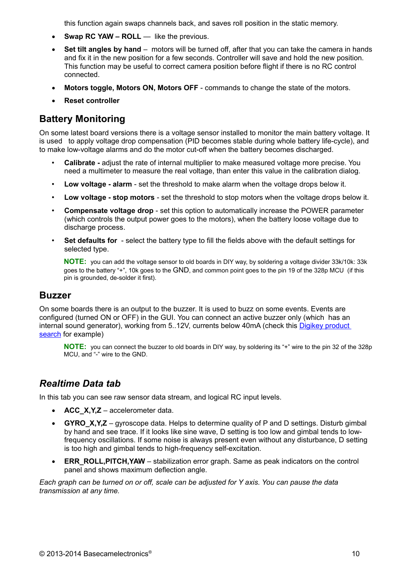this function again swaps channels back, and saves roll position in the static memory.

- **Swap RC YAW ROLL** like the previous.
- Set tilt angles by hand motors will be turned off, after that you can take the camera in hands and fix it in the new position for a few seconds. Controller will save and hold the new position. This function may be useful to correct camera position before flight if there is no RC control connected.
- **Motors toggle, Motors ON, Motors OFF** commands to change the state of the motors.
- **Reset controller**

### **Battery Monitoring**

On some latest board versions there is a voltage sensor installed to monitor the main battery voltage. It is used to apply voltage drop compensation (PID becomes stable during whole battery life-cycle), and to make low-voltage alarms and do the motor cut-off when the battery becomes discharged.

- **Calibrate -** adjust the rate of internal multiplier to make measured voltage more precise. You need a multimeter to measure the real voltage, than enter this value in the calibration dialog.
- **Low voltage alarm** set the threshold to make alarm when the voltage drops below it.
- **Low voltage stop motors**  set the threshold to stop motors when the voltage drops below it.
- **Compensate voltage drop** set this option to automatically increase the POWER parameter (which controls the output power goes to the motors), when the battery loose voltage due to discharge process.
- **Set defaults for** select the battery type to fill the fields above with the default settings for selected type.

**NOTE:** you can add the voltage sensor to old boards in DIY way, by soldering a voltage divider 33k/10k: 33k goes to the battery "+", 10k goes to the GND, and common point goes to the pin 19 of the 328p MCU (if this pin is grounded, de-solder it first).

#### **Buzzer**

On some boards there is an output to the buzzer. It is used to buzz on some events. Events are configured (turned ON or OFF) in the GUI. You can connect an active buzzer only (which has an internal sound generator), working from 5..12V, currents below 40mA (check this [Digikey product](http://www.digikey.com/product-search/en?pv14=930&pv14=124&pv14=123&FV=fff4000b,fff80047,38003f,38007b,38007c,38007e,3803a2,7040013,7040015,704001b,7040024,704002a,7040037,704003b,704003e,7040045,704005a,704005d,7040068,704006a,704007e,7040080,7040088,704008a,704008b,70400f3,70404b5,7680028,15d80006&mnonly=0&newproducts=0&ColumnSort=0&page=1&quantity=0&ptm=0&fid=0&pageSize=25)  [search](http://www.digikey.com/product-search/en?pv14=930&pv14=124&pv14=123&FV=fff4000b,fff80047,38003f,38007b,38007c,38007e,3803a2,7040013,7040015,704001b,7040024,704002a,7040037,704003b,704003e,7040045,704005a,704005d,7040068,704006a,704007e,7040080,7040088,704008a,704008b,70400f3,70404b5,7680028,15d80006&mnonly=0&newproducts=0&ColumnSort=0&page=1&quantity=0&ptm=0&fid=0&pageSize=25) for example)

**NOTE:** you can connect the buzzer to old boards in DIY way, by soldering its "+" wire to the pin 32 of the 328p MCU, and "-" wire to the GND.

#### *Realtime Data tab*

In this tab you can see raw sensor data stream, and logical RC input levels.

- **ACC\_X,Y,Z** accelerometer data.
- **GYRO X, Y, Z** gyroscope data. Helps to determine quality of P and D settings. Disturb gimbal by hand and see trace. If it looks like sine wave, D setting is too low and gimbal tends to lowfrequency oscillations. If some noise is always present even without any disturbance, D setting is too high and gimbal tends to high-frequency self-excitation.
- **ERR\_ROLL,PITCH,YAW** stabilization error graph. Same as peak indicators on the control panel and shows maximum deflection angle.

*Each graph can be turned on or off, scale can be adjusted for Y axis. You can pause the data transmission at any time.*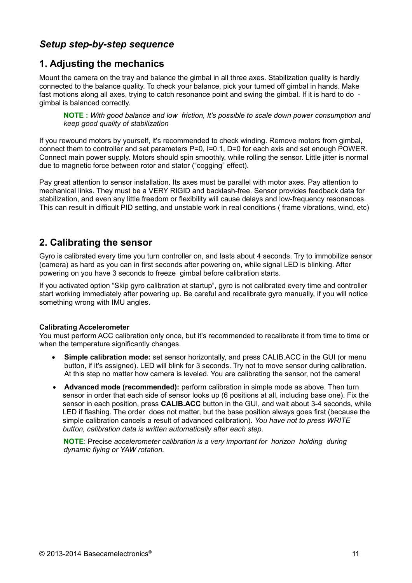## *Setup step-by-step sequence*

## **1. Adjusting the mechanics**

Mount the camera on the tray and balance the gimbal in all three axes. Stabilization quality is hardly connected to the balance quality. To check your balance, pick your turned off gimbal in hands. Make fast motions along all axes, trying to catch resonance point and swing the gimbal. If it is hard to do gimbal is balanced correctly.

**NOTE :** *With good balance and low friction, It's possible to scale down power consumption and keep good quality of stabilization*

If you rewound motors by yourself, it's recommended to check winding. Remove motors from gimbal, connect them to controller and set parameters P=0, I=0.1, D=0 for each axis and set enough POWER. Connect main power supply. Motors should spin smoothly, while rolling the sensor. Little jitter is normal due to magnetic force between rotor and stator ("cogging" effect).

Pay great attention to sensor installation. Its axes must be parallel with motor axes. Pay attention to mechanical links. They must be a VERY RIGID and backlash-free. Sensor provides feedback data for stabilization, and even any little freedom or flexibility will cause delays and low-frequency resonances. This can result in difficult PID setting, and unstable work in real conditions ( frame vibrations, wind, etc)

### **2. Calibrating the sensor**

Gyro is calibrated every time you turn controller on, and lasts about 4 seconds. Try to immobilize sensor (camera) as hard as you can in first seconds after powering on, while signal LED is blinking. After powering on you have 3 seconds to freeze gimbal before calibration starts.

If you activated option "Skip gyro calibration at startup", gyro is not calibrated every time and controller start working immediately after powering up. Be careful and recalibrate gyro manually, if you will notice something wrong with IMU angles.

#### **Calibrating Accelerometer**

You must perform ACC calibration only once, but it's recommended to recalibrate it from time to time or when the temperature significantly changes.

- **Simple calibration mode:** set sensor horizontally, and press CALIB.ACC in the GUI (or menu button, if it's assigned). LED will blink for 3 seconds. Try not to move sensor during calibration. At this step no matter how camera is leveled. You are calibrating the sensor, not the camera!
- **Advanced mode (recommended):** perform calibration in simple mode as above. Then turn sensor in order that each side of sensor looks up (6 positions at all, including base one). Fix the sensor in each position, press **CALIB.ACC** button in the GUI, and wait about 3-4 seconds, while LED if flashing. The order does not matter, but the base position always goes first (because the simple calibration cancels a result of advanced calibration). *You have not to press WRITE button, calibration data is written automatically after each step.*

**NOTE**: Precise *accelerometer calibration is a very important for horizon holding during dynamic flying or YAW rotation.*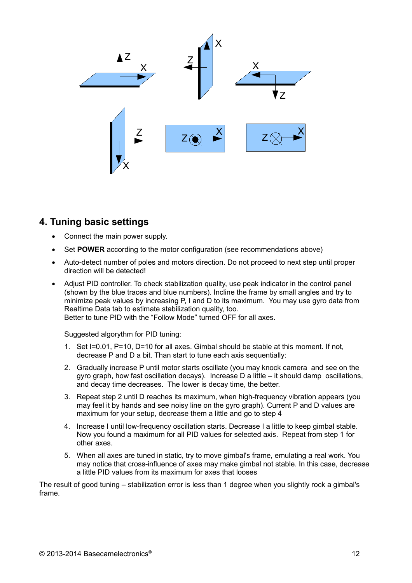

### **4. Tuning basic settings**

- Connect the main power supply.
- Set **POWER** according to the motor configuration (see recommendations above)
- Auto-detect number of poles and motors direction. Do not proceed to next step until proper direction will be detected!
- Adjust PID controller. To check stabilization quality, use peak indicator in the control panel (shown by the blue traces and blue numbers). Incline the frame by small angles and try to minimize peak values by increasing P, I and D to its maximum. You may use gyro data from Realtime Data tab to estimate stabilization quality, too. Better to tune PID with the "Follow Mode" turned OFF for all axes.

Suggested algorythm for PID tuning:

- 1. Set I=0.01, P=10, D=10 for all axes. Gimbal should be stable at this moment. If not, decrease P and D a bit. Than start to tune each axis sequentially:
- 2. Gradually increase P until motor starts oscillate (you may knock camera and see on the gyro graph, how fast oscillation decays). Increase D a little – it should damp oscillations, and decay time decreases. The lower is decay time, the better.
- 3. Repeat step 2 until D reaches its maximum, when high-frequency vibration appears (you may feel it by hands and see noisy line on the gyro graph). Current P and D values are maximum for your setup, decrease them a little and go to step 4
- 4. Increase I until low-frequency oscillation starts. Decrease I a little to keep gimbal stable. Now you found a maximum for all PID values for selected axis. Repeat from step 1 for other axes.
- 5. When all axes are tuned in static, try to move gimbal's frame, emulating a real work. You may notice that cross-influence of axes may make gimbal not stable. In this case, decrease a little PID values from its maximum for axes that looses

The result of good tuning – stabilization error is less than 1 degree when you slightly rock a gimbal's frame.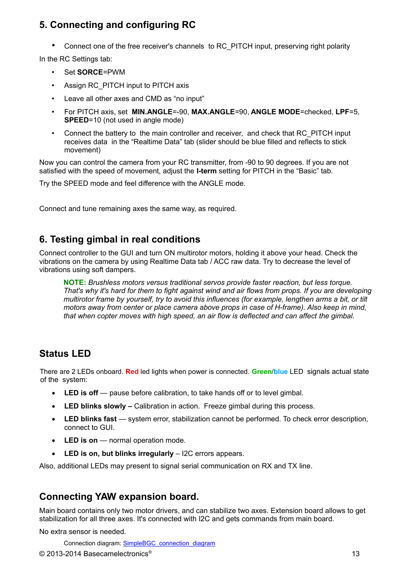# **5. Connecting and configuring RC**

• Connect one of the free receiver's channels to RC\_PITCH input, preserving right polarity

In the RC Settings tab:

- Set **SORCE**=PWM
- Assign RC\_PITCH input to PITCH axis
- Leave all other axes and CMD as "no input"
- For PITCH axis, set **MIN.ANGLE**=-90, **MAX.ANGLE**=90, **ANGLE MODE**=checked, **LPF**=5, **SPEED**=10 (not used in angle mode)
- Connect the battery to the main controller and receiver, and check that RC PITCH input receives data in the "Realtime Data" tab (slider should be blue filled and reflects to stick movement)

Now you can control the camera from your RC transmitter, from -90 to 90 degrees. If you are not satisfied with the speed of movement, adjust the **I-term** setting for PITCH in the "Basic" tab.

Try the SPEED mode and feel difference with the ANGLE mode.

Connect and tune remaining axes the same way, as required.

### **6. Testing gimbal in real conditions**

Connect controller to the GUI and turn ON multirotor motors, holding it above your head. Check the vibrations on the camera by using Realtime Data tab / ACC raw data. Try to decrease the level of vibrations using soft dampers.

**NOTE:** *Brushless motors versus traditional servos provide faster reaction, but less torque. That's why it's hard for them to fight against wind and air flows from props. If you are developing multirotor frame by yourself, try to avoid this influences (for example, lengthen arms a bit, or tilt motors away from center or place camera above props in case of H-frame). Also keep in mind, that when copter moves with high speed, an air flow is deflected and can affect the gimbal.*

# **Status LED**

There are 2 LEDs onboard. **Red** led lights when power is connected. **Green**/**blue** LED signals actual state of the system:

- LED is off pause before calibration, to take hands off or to level gimbal.
- **LED blinks slowly –** Calibration in action. Freeze gimbal during this process.
- **LED blinks fast** system error, stabilization cannot be performed. To check error description, connect to GUI.
- **LED is on** normal operation mode.
- **LED is on, but blinks irregularly** I2C errors appears.

Also, additional LEDs may present to signal serial communication on RX and TX line.

### **Connecting YAW expansion board.**

Main board contains only two motor drivers, and can stabilize two axes. Extension board allows to get stabilization for all three axes. It's connected with I2C and gets commands from main board.

No extra sensor is needed.

Connection diagram: [SimpleBGC\\_connection\\_diagram](http://www.basecamelectronics.com/files/v10/SimpleBGC_connection_diagram.pdf)

© 2013-2014 Basecamelectronics® 13